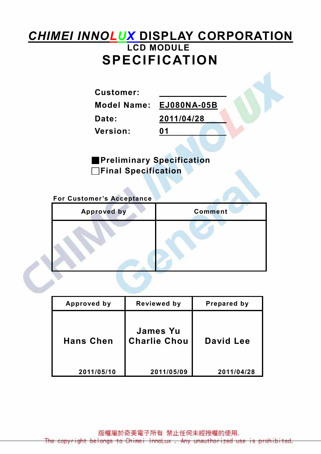# **CHIMEI INNOLUX DISPLAY CORPORATION** LCD MODULE SPECIFICATION

Customer:

Model Name: EJ080NA-05B

Date: 2011/04/28

Version: 01

■Preliminary Specification □Final Specification

For Customer's Acceptance

| <b>Approved by</b> | <b>Comment</b> |
|--------------------|----------------|
|                    |                |

| Approved by      | Reviewed by              | Prepared by |  |  |
|------------------|--------------------------|-------------|--|--|
| <b>Hans Chen</b> | James Yu<br>Charlie Chou | David Lee   |  |  |
| 2011/05/10       | 2011/05/09               | 2011/04/28  |  |  |

版權屬於奇美電子所有 禁止任何未經授權的使用.

The copyright belongs to Chimei InnoLux . Any unauthorized use is prohibited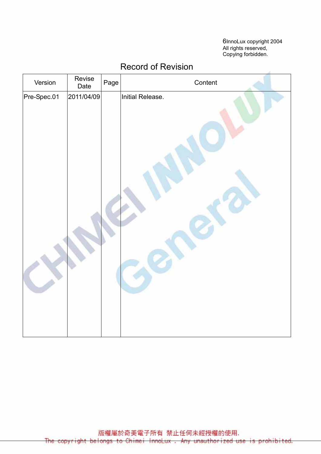6InnoLux copyright 2004 All rights reserved, Copying forbidden.

| <b>INCOUNT OF TYCHOLDIT</b> |                |      |                  |  |  |  |  |
|-----------------------------|----------------|------|------------------|--|--|--|--|
| Version                     | Revise<br>Date | Page | Content          |  |  |  |  |
| Pre-Spec.01                 | 2011/04/09     |      | Initial Release. |  |  |  |  |
|                             |                |      |                  |  |  |  |  |

### Record of Revision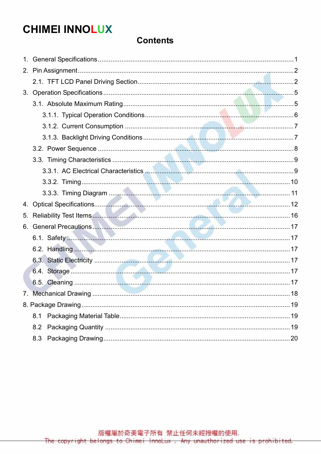# **CHIMEI INNOLUX**

### **Contents**

| 3.             |     |  |
|----------------|-----|--|
|                |     |  |
|                |     |  |
|                |     |  |
|                |     |  |
|                |     |  |
|                |     |  |
|                |     |  |
|                |     |  |
|                |     |  |
|                |     |  |
| 5 <sub>1</sub> |     |  |
|                |     |  |
|                |     |  |
|                |     |  |
|                |     |  |
|                |     |  |
|                |     |  |
| 7.             |     |  |
|                |     |  |
|                | 8.1 |  |
|                | 8.2 |  |
|                | 8.3 |  |

版權屬於奇美電子所有 禁止任何未經授權的使用. The copyright belongs to Chimei InnoLux. Any unauthorized use is prohibited.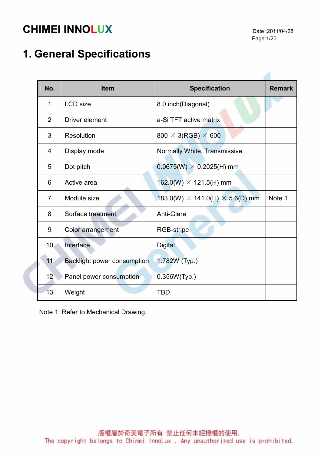Page:1/20

# 1. General Specifications

| No.             | <b>Item</b>                        | <b>Specification</b>                          | <b>Remark</b> |
|-----------------|------------------------------------|-----------------------------------------------|---------------|
| $\mathbf 1$     | <b>LCD</b> size                    | 8.0 inch(Diagonal)                            |               |
| $\overline{2}$  | Driver element                     | a-Si TFT active matrix                        |               |
| 3               | Resolution                         | $800 \times 3(RGB) \times 600$                |               |
| 4               | Display mode                       | Normally White, Transmissive                  |               |
| 5               | Dot pitch                          | $0.0675(W) \times 0.2025(H)$ mm               |               |
| 6               | Active area                        | 162.0(W) $\times$ 121.5(H) mm                 |               |
| $\overline{7}$  | Module size                        | 183.0(W) $\times$ 141.0(H) $\times$ 5.6(D) mm | Note 1        |
| 8               | Surface treatment                  | <b>Anti-Glare</b>                             |               |
| 9               | Color arrangement                  | <b>RGB-stripe</b>                             |               |
| 10 <sub>1</sub> | Interface                          | <b>Digital</b>                                |               |
| 11              | <b>Backlight power consumption</b> | 1.782W (Typ.)                                 |               |
| 12              | Panel power consumption            | 0.356W(Typ.)                                  |               |
| 13              | Weight                             | <b>TBD</b>                                    |               |

Note 1: Refer to Mechanical Drawing.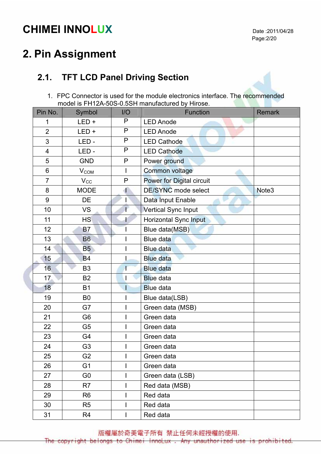Page:2/20

# 2. Pin Assignment

## 2.1. TFT LCD Panel Driving Section



| Pin No.         | Symbol           | I/O                      | <b>Function</b>                  | <b>Remark</b>     |
|-----------------|------------------|--------------------------|----------------------------------|-------------------|
| 1               | $LED +$          | P                        | <b>LED Anode</b>                 |                   |
| $\overline{2}$  | $LED +$          | P                        | <b>LED Anode</b>                 |                   |
| 3               | LED-             | P                        | <b>LED Cathode</b>               |                   |
| 4               | LED-             | P                        | <b>LED Cathode</b>               |                   |
| 5               | <b>GND</b>       | P                        | Power ground                     |                   |
| 6               | V <sub>COM</sub> | I                        | Common voltage                   |                   |
| $\overline{7}$  | $V_{CC}$         | P                        | <b>Power for Digital circuit</b> |                   |
| 8               | <b>MODE</b>      | 4                        | DE/SYNC mode select              | Note <sub>3</sub> |
| 9               | DE               | ľ                        | Data Input Enable                |                   |
| 10              | <b>VS</b>        | Ľ                        | <b>Vertical Sync Input</b>       |                   |
| 11              | <b>HS</b>        |                          | Horizontal Sync Input            |                   |
| 12              | <b>B7</b>        |                          | Blue data(MSB)                   |                   |
| 13              | <b>B6</b>        |                          | Blue data                        |                   |
| 14              | <b>B5</b>        | I                        | <b>Blue data</b>                 |                   |
| 15              | <b>B4</b>        |                          | <b>Blue data</b>                 |                   |
| 16              | B <sub>3</sub>   | $\mathsf{I}$             | <b>Blue data</b>                 |                   |
| 17 <sub>1</sub> | <b>B2</b>        | I                        | <b>Blue data</b>                 |                   |
| 18              | <b>B1</b>        | $\mathbf{I}$             | <b>Blue data</b>                 |                   |
| 19              | B <sub>0</sub>   | I                        | Blue data(LSB)                   |                   |
| 20              | G7               | $\overline{\phantom{a}}$ | Green data (MSB)                 |                   |
| 21              | G <sub>6</sub>   |                          | Green data                       |                   |
| 22              | G <sub>5</sub>   |                          | Green data                       |                   |
| 23              | G4               |                          | Green data                       |                   |
| 24              | G <sub>3</sub>   |                          | Green data                       |                   |
| 25              | G <sub>2</sub>   |                          | Green data                       |                   |
| 26              | G <sub>1</sub>   |                          | Green data                       |                   |
| 27              | G <sub>0</sub>   |                          | Green data (LSB)                 |                   |
| 28              | R7               |                          | Red data (MSB)                   |                   |
| 29              | R <sub>6</sub>   |                          | Red data                         |                   |
| 30              | R <sub>5</sub>   |                          | Red data                         |                   |
| 31              | R4               | I                        | Red data                         |                   |

版權屬於奇美電子所有 禁止任何未經授權的使用.

The copyright belongs to Chimei InnoLux. Any unauthorized use is prohibited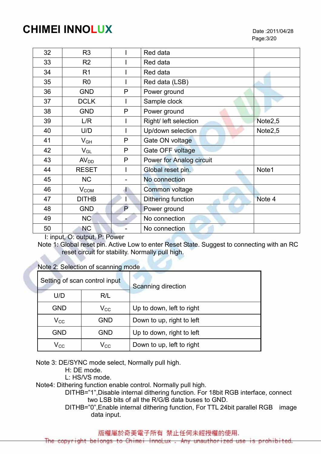Page:3/20

| 32 | R <sub>3</sub>   |   | Red data                        |                     |  |  |
|----|------------------|---|---------------------------------|---------------------|--|--|
| 33 | R <sub>2</sub>   |   | Red data                        |                     |  |  |
| 34 | R <sub>1</sub>   |   | Red data                        |                     |  |  |
| 35 | R <sub>0</sub>   |   | Red data (LSB)                  |                     |  |  |
| 36 | <b>GND</b>       | P | Power ground                    |                     |  |  |
| 37 | <b>DCLK</b>      |   | Sample clock                    |                     |  |  |
| 38 | <b>GND</b>       | P | Power ground                    |                     |  |  |
| 39 | L/R              |   | Right/ left selection           | Note <sub>2,5</sub> |  |  |
| 40 | U/D              |   | Up/down selection               | Note2,5             |  |  |
| 41 | $V_{GH}$         | P | Gate ON voltage                 |                     |  |  |
| 42 | $V_{GL}$         | P | Gate OFF voltage                |                     |  |  |
| 43 | AV <sub>DD</sub> | P | <b>Power for Analog circuit</b> |                     |  |  |
| 44 | <b>RESET</b>     |   | Global reset pin.               | Note1               |  |  |
| 45 | <b>NC</b>        |   | No connection                   |                     |  |  |
| 46 | $V_{COM}$        | ď | Common voltage                  |                     |  |  |
| 47 | <b>DITHB</b>     |   | Dithering function              | Note 4              |  |  |
| 48 | <b>GND</b>       | P | Power ground                    |                     |  |  |
| 49 | <b>NC</b>        |   | No connection                   |                     |  |  |
| 50 | NC               |   | No connection                   |                     |  |  |

I: input, O: output, P: Power

Note 1: Global reset pin. Active Low to enter Reset State. Suggest to connecting with an RC reset circuit for stability. Normally pull high.

Note 2: Selection of scanning mode

| Setting of scan control input     |              | Scanning direction        |  |
|-----------------------------------|--------------|---------------------------|--|
| U/D<br>R/L                        |              |                           |  |
| <b>GND</b>                        | $V_{\rm CC}$ | Up to down, left to right |  |
| <b>GND</b><br>$V_{CC}$            |              | Down to up, right to left |  |
| <b>GND</b>                        | GND          | Up to down, right to left |  |
| $V_{\mathrm{CC}}$<br>$\rm V_{CC}$ |              | Down to up, left to right |  |

Note 3: DE/SYNC mode select, Normally pull high.

H: DE mode.

L: HS/VS mode.

Note4: Dithering function enable control. Normally pull high.

 DITHB="1",Disable internal dithering function. For 18bit RGB interface, connect two LSB bits of all the R/G/B data buses to GND.

 DITHB="0",Enable internal dithering function, For TTL 24bit parallel RGB image data input.

版權屬於奇美電子所有 禁止任何未經授權的使用.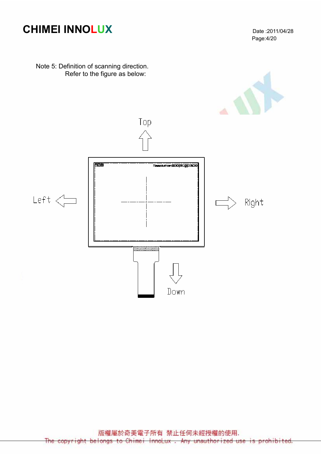Note 5: Definition of scanning direction. Refer to the figure as below:

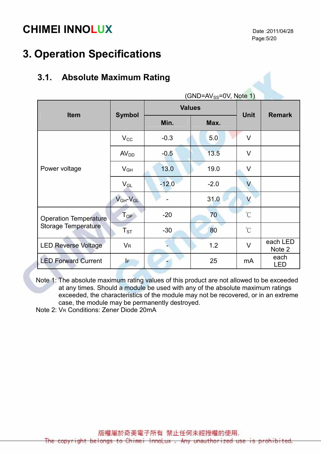# 3. Operation Specifications

## 3.1. Absolute Maximum Rating

|                              | $(GND=AV_{SS}=OV, Note 1)$ |               |             |                      |                    |
|------------------------------|----------------------------|---------------|-------------|----------------------|--------------------|
| <b>Item</b>                  |                            | <b>Values</b> | <b>Unit</b> |                      |                    |
|                              | <b>Symbol</b>              | Min.          | Max.        |                      | <b>Remark</b>      |
|                              | $V_{\rm CC}$               | $-0.3$        | 5.0         | $\vee$               |                    |
|                              | AV <sub>DD</sub>           | $-0.5$        | 13.5        | $\vee$               |                    |
| Power voltage                | $V_{GH}$                   | 13.0          | 19.0        | V                    |                    |
|                              | $\mathsf{V}_{\mathsf{GL}}$ | $-12.0$       | $-2.0$      | $\vee$               |                    |
|                              | $V_{GH}$ - $V_{GL}$        |               | 31.0        | V                    |                    |
| <b>Operation Temperature</b> | $T_{OP}$                   | $-20$         | 70          | $\mathrm{C}^{\circ}$ |                    |
| <b>Storage Temperature</b>   | $\mathsf{T}_{\texttt{ST}}$ | $-30$         | 80          | $\mathrm{C}^{\circ}$ |                    |
| <b>LED Reverse Voltage</b>   | <b>V<sub>R</sub></b>       |               | 1.2         | $\vee$               | each LED<br>Note 2 |
| <b>LED Forward Current</b>   | IF.                        |               | 25          | mA                   | each<br>LED        |

Note 1: The absolute maximum rating values of this product are not allowed to be exceeded at any times. Should a module be used with any of the absolute maximum ratings exceeded, the characteristics of the module may not be recovered, or in an extreme case, the module may be permanently destroyed.

Note 2: VR Conditions: Zener Diode 20mA

Ì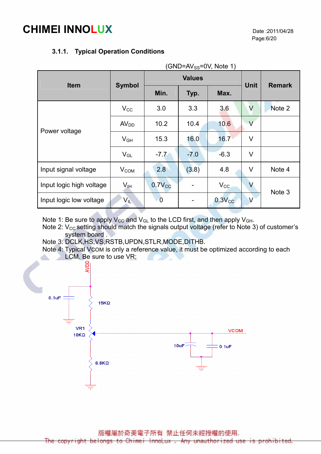#### 3.1.1. Typical Operation Conditions

| $(GND=AV_{SS}=OV, Note 1)$ |                            |                      |               |              |               |        |  |  |
|----------------------------|----------------------------|----------------------|---------------|--------------|---------------|--------|--|--|
| <b>Item</b>                |                            |                      | <b>Values</b> | <b>Unit</b>  |               |        |  |  |
|                            | <b>Symbol</b>              | Min.<br>Max.<br>Typ. |               |              | <b>Remark</b> |        |  |  |
|                            | $V_{CC}$                   | 3.0                  | 3.3           | 3.6          | $\vee$        | Note 2 |  |  |
|                            | AV <sub>DD</sub>           | 10.2                 | 10.4          | 10.6         | $\vee$        |        |  |  |
| Power voltage              | V <sub>GH</sub>            | 15.3                 | 16.0          | 16.7         | $\vee$        |        |  |  |
|                            | $V_{GL}$                   | $-7.7$               | $-7.0$        | $-6.3$       | $\vee$        |        |  |  |
| Input signal voltage       | $V_{COM}$                  | 2.8                  | (3.8)         | 4.8          | $\vee$        | Note 4 |  |  |
| Input logic high voltage   | $V_{\text{IH}}$            | $0.7V_{CC}$          |               | $V_{\rm CC}$ | $\vee$        |        |  |  |
| Input logic low voltage    | $\mathsf{V}_{\mathsf{IL}}$ | $\overline{0}$       |               | $0.3V_{CC}$  | V             | Note 3 |  |  |

Note 1: Be sure to apply  $V_{CC}$  and  $V_{GL}$  to the LCD first, and then apply  $V_{GH}$ .

Note 2:  $V_{CC}$  setting should match the signals output voltage (refer to Note 3) of customer's system board .

Note 3: DCLK,HS,VS,RSTB,UPDN,STLR,MODE,DITHB.

Note 4: Typical VCOM is only a reference value, it must be optimized according to each LCM. Be sure to use VR; a



版權屬於奇美電子所有 禁止任何未經授權的使用.

ight belongs to Chimei InnoLux. Any unauthorized use **CODV1**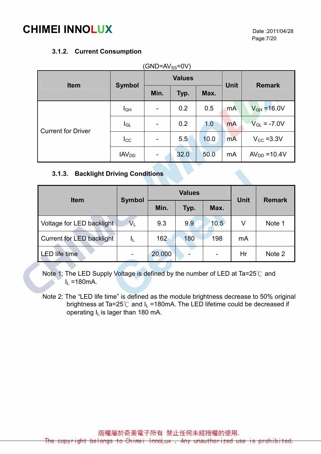#### 3.1.2. Current Consumption

| <b>Item</b>               | <b>Symbol</b>           |                              | <b>Values</b> |      | <b>Unit</b> | <b>Remark</b>         |  |
|---------------------------|-------------------------|------------------------------|---------------|------|-------------|-----------------------|--|
|                           |                         | Min.                         | Typ.          | Max. |             |                       |  |
| <b>Current for Driver</b> | $I_{GH}$                | -                            | 0.2           | 0.5  | mA          | $V_{GH} = 16.0V$      |  |
|                           | <b>I</b> GL             | $\overline{\phantom{a}}$     | 0.2           | 1.0  | mA          | $V_{GL} = -7.0V$      |  |
|                           | $I_{\rm CC}$            | $\qquad \qquad \blacksquare$ | 5.5           | 10.0 | <b>mA</b>   | $V_{\text{CC}}$ =3.3V |  |
|                           | <b>IAV<sub>DD</sub></b> | -                            | 32.0          | 50.0 | mA          | $AVDD = 10.4V$        |  |

### 3.1.3. Backlight Driving Conditions

|                                  |                           |        | <b>Values</b> | <b>Unit</b> |    |               |
|----------------------------------|---------------------------|--------|---------------|-------------|----|---------------|
| <b>Item</b>                      | <b>Symbol</b>             | Min.   | Typ.          | Max.        |    | <b>Remark</b> |
| Voltage for LED backlight        | $\mathsf{V}_{\mathsf{L}}$ | 9.3    | 9.9           | 10.5        | V  | Note 1        |
| <b>Current for LED backlight</b> | Iı.                       | 162    | 180           | 198         | mA |               |
| <b>LED</b> life time             | -                         | 20,000 |               |             | Hr | Note 2        |

Note 1: The LED Supply Voltage is defined by the number of LED at Ta=25℃ and  $I<sub>L</sub>$  =180mA.

Note 2: The "LED life time" is defined as the module brightness decrease to 50% original brightness at Ta=25 $^{\circ}$ C and I<sub>L</sub> =180mA. The LED lifetime could be decreased if operating  $I_L$  is lager than 180 mA.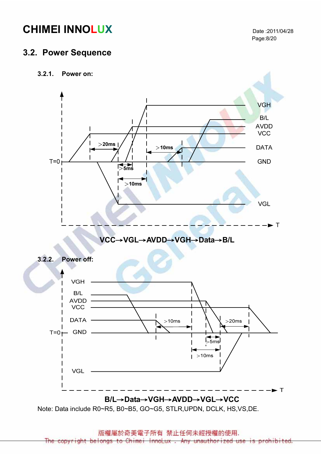$--\rightarrow$  T

### 3.2. Power Sequence



**VGL** 



B/L→Data→VGH→AVDD→VGL→VCC

Note: Data include R0~R5, B0~B5, GO~G5, STLR,UPDN, DCLK, HS,VS,DE.

版權屬於奇美電子所有 禁止任何未經授權的使用.

The copyright belongs to Chimei InnoLux. Any unauthorized use is prohibited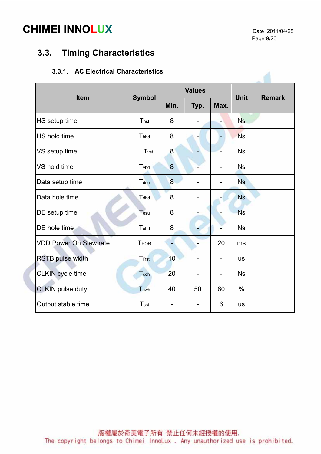Page:9/20

## 3.3. Timing Characteristics

### 3.3.1. AC Electrical Characteristics

|                               |                  | <b>Values</b> |      |                          | <b>Unit</b> | <b>Remark</b> |
|-------------------------------|------------------|---------------|------|--------------------------|-------------|---------------|
| <b>Item</b>                   | <b>Symbol</b>    | Min.          | Typ. | Max.                     |             |               |
| HS setup time                 | Thst             | 8             |      |                          | <b>Ns</b>   |               |
| HS hold time                  | Thhd             | 8             |      |                          | <b>Ns</b>   |               |
| VS setup time                 | T <sub>vst</sub> | 8             |      |                          | <b>Ns</b>   |               |
| VS hold time                  | Tyhd             | 8             |      |                          | <b>Ns</b>   |               |
| Data setup time               | Tdsu             | 8             |      | $\blacksquare$           | <b>Ns</b>   |               |
| Data hole time                | Tdhd             | 8             |      | $\overline{\phantom{0}}$ | <b>Ns</b>   |               |
| DE setup time                 | Tesu             | 8             |      |                          | <b>Ns</b>   |               |
| DE hole time                  | Tehd             | 8             |      |                          | <b>Ns</b>   |               |
| <b>VDD Power On Slew rate</b> | <b>TPOR</b>      |               |      | 20                       | ms          |               |
| <b>RSTB pulse width</b>       | TRst             | 10            |      |                          | <b>us</b>   |               |
| CLKIN cycle time              | Tcoh             | 20            |      |                          | <b>Ns</b>   |               |
| <b>CLKIN</b> pulse duty       | Tcwh             | 40            | 50   | 60                       | %           |               |
| Output stable time            | $T_{\rm sst}$    |               |      | 6                        | <b>us</b>   |               |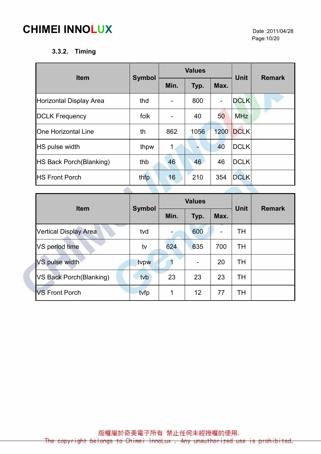Page:10/20

### 3.3.2. Timing

| <b>Item</b>                     | <b>Symbol</b> | <b>Values</b> |      |                | <b>Unit</b> | <b>Remark</b> |  |
|---------------------------------|---------------|---------------|------|----------------|-------------|---------------|--|
|                                 |               | Min.          | Typ. | Max.           |             |               |  |
| Horizontal Display Area         | thd           |               | 800  | $\overline{a}$ | <b>DCLK</b> |               |  |
| <b>DCLK Frequency</b>           | fclk          |               | 40   | 50             | <b>MHz</b>  |               |  |
| <b>One Horizontal Line</b>      | th            | 862           | 1056 | 1200           | <b>DCLK</b> |               |  |
| <b>HS pulse width</b>           | thpw          | 1             |      | 40             | <b>DCLK</b> |               |  |
| <b>HS Back Porch (Blanking)</b> | thb           | 46            | 46   | 46             | <b>DCLK</b> |               |  |
| <b>HS Front Porch</b>           | thfp          | 16            | 210  | 354            | <b>DCLK</b> |               |  |

| <b>Item</b>                  | <b>Symbol</b> | <b>Values</b> |      |                          | <b>Unit</b> | <b>Remark</b> |
|------------------------------|---------------|---------------|------|--------------------------|-------------|---------------|
|                              |               | Min.          | Typ. | Max.                     |             |               |
| <b>Vertical Display Area</b> | tvd           |               | 600  | $\overline{\phantom{0}}$ | TН          |               |
| VS period time               | tv            | 624           | 635  | 700                      | TН          |               |
| VS pulse width               | tvpw          | ◀             |      | 20                       | TН          |               |
| VS Back Porch(Blanking)      | tvb           | 23            | 23   | 23                       | TН          |               |
| <b>VS Front Porch</b>        | tvfp          | 1             | 12   | 77                       | TН          |               |

版權屬於奇美電子所有 禁止任何未經授權的使用. The copyright belongs to Chimei InnoLux. Any unauthorized use is prohibited.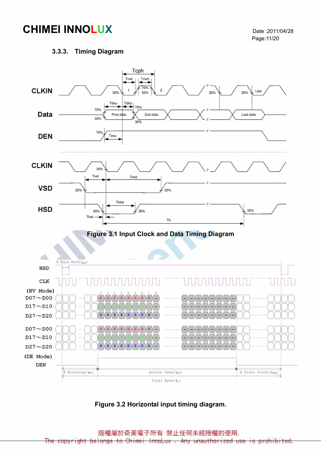Page:11/20

#### 3.3.3. Timing Diagram



#### Figure 3.2 Horizontal input timing diagram.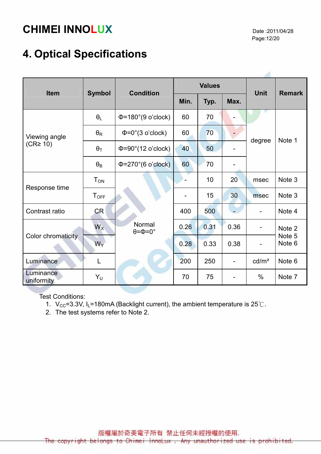Page:12/20

# 4. Optical Specifications

|                                 |                       |                                        |      | <b>Values</b> |        |                   |                  |
|---------------------------------|-----------------------|----------------------------------------|------|---------------|--------|-------------------|------------------|
| <b>Item</b>                     | <b>Symbol</b>         | <b>Condition</b>                       | Min. | Typ.          | Max.   | <b>Unit</b>       | <b>Remark</b>    |
| Viewing angle<br>$(CR \geq 10)$ | $\theta_L$            | $\Phi$ =180°(9 o'clock)                | 60   | 70            |        |                   | Note 1           |
|                                 | $\theta_{\mathsf{R}}$ | $\Phi = 0^\circ (3 \text{ o'clock})$   | 60   | 70            |        |                   |                  |
|                                 | $\theta_T$            | $\Phi = 90^\circ (12 \text{ o'clock})$ | 40   | 50            | degree |                   |                  |
|                                 | $\theta_{\mathsf{B}}$ | $\Phi$ =270°(6 o'clock)                | 60   | 70            |        |                   |                  |
| Response time                   | $T_{ON}$              |                                        |      | 10            | 20     | msec              | Note 3           |
|                                 | $T_{\text{OFF}}$      |                                        |      | 15            | 30     | msec              | Note 3           |
| Contrast ratio                  | <b>CR</b>             |                                        | 400  | 500           |        | $\qquad \qquad$   | Note 4           |
| Color chromaticity              | $W_X$                 | Normal<br>$\theta = \Phi = 0^\circ$    | 0.26 | 0.31          | 0.36   | -                 | Note 2           |
|                                 | $W_Y$                 |                                        | 0.28 | 0.33          | 0.38   |                   | Note 5<br>Note 6 |
| Luminance                       | L                     |                                        | 200  | 250           |        | cd/m <sup>2</sup> | Note 6           |
| Luminance<br>uniformity         | $Y_U$                 |                                        | 70   | 75            |        | $\%$              | Note 7           |

Test Conditions:

- 1. V<sub>CC</sub>=3.3V, I<sub>L</sub>=180mA (Backlight current), the ambient temperature is  $25^{\circ}$ C.
- 2. The test systems refer to Note 2.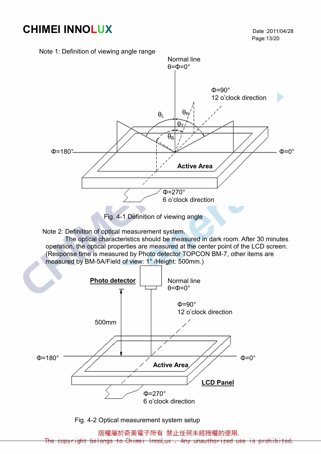

Note 2: Definition of optical measurement system.

 The optical characteristics should be measured in dark room. After 30 minutes operation, the optical properties are measured at the center point of the LCD screen. (Response time is measured by Photo detector TOPCON BM-7, other items are measured by BM-5A/Field of view: 1° /Height: 500mm.)



Fig. 4-2 Optical measurement system setup

版權屬於奇美電子所有 禁止任何未經授權的使用. ight belongs to Chimei InnoLux . Any unauthorized use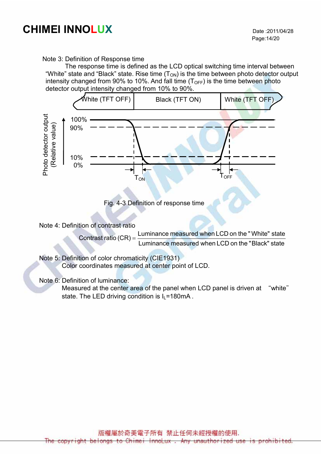Note 3: Definition of Response time

 The response time is defined as the LCD optical switching time interval between "White" state and "Black" state. Rise time  $(T<sub>ON</sub>)$  is the time between photo detector output intensity changed from 90% to 10%. And fall time  $(T<sub>OFF</sub>)$  is the time between photo detector output intensity changed from 10% to 90%.



Fig. 4-3 Definition of response time

Note 4: Definition of contrast ratio

Contrast ratio (CR) = <u>Luminance measured when LCD on the " Willie" state</u> Luminance measured when LCD on the "White" state

 Note 5: Definition of color chromaticity (CIE1931) Color coordinates measured at center point of LCD.

Note 6: Definition of luminance:

Measured at the center area of the panel when LCD panel is driven at "white" state. The LED driving condition is  $I_1 = 180$ mA.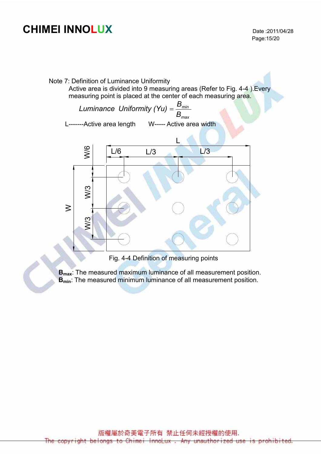

B<sub>max</sub>: The measured maximum luminance of all measurement position. **B**<sub>min</sub>: The measured minimum luminance of all measurement position.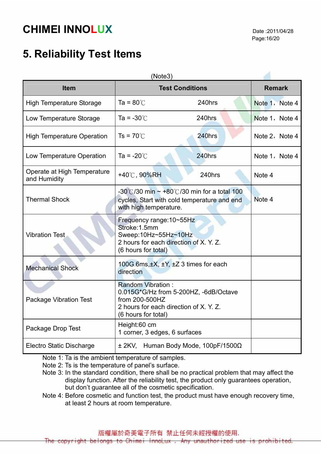Page:16/20

## 5. Reliability Test Items

| <b>Item</b>                                 | <b>Test Conditions</b>                                                                                                                               | <b>Remark</b>  |
|---------------------------------------------|------------------------------------------------------------------------------------------------------------------------------------------------------|----------------|
| <b>High Temperature Storage</b>             | Ta = $80^{\circ}$ C<br>240hrs                                                                                                                        | Note 1, Note 4 |
| Low Temperature Storage                     | Ta = $-30^{\circ}$ C<br>240hrs                                                                                                                       | Note 1, Note 4 |
| <b>High Temperature Operation</b>           | 240hrs<br>$Ts = 70^{\circ}$                                                                                                                          | Note 2, Note 4 |
| Low Temperature Operation                   | 240hrs<br>Ta = $-20^{\circ}$ C                                                                                                                       | Note 1, Note 4 |
| Operate at High Temperature<br>and Humidity | +40℃, 90%RH<br>240hrs                                                                                                                                | Note 4         |
| <b>Thermal Shock</b>                        | -30°C/30 min $\sim$ +80°C/30 min for a total 100<br>cycles, Start with cold temperature and end<br>with high temperature.                            | Note 4         |
| <b>Vibration Test</b>                       | Frequency range: 10~55Hz<br>Stroke: 1.5mm<br>Sweep:10Hz~55Hz~10Hz<br>2 hours for each direction of X. Y. Z.<br>(6 hours for total)                   |                |
| <b>Mechanical Shock</b>                     | 100G 6ms, ±X, ±Y, ±Z 3 times for each<br>direction                                                                                                   |                |
| <b>Package Vibration Test</b>               | <b>Random Vibration:</b><br>0.015G*G/Hz from 5-200HZ, -6dB/Octave<br>from 200-500HZ<br>2 hours for each direction of X. Y. Z.<br>(6 hours for total) |                |
| Package Drop Test                           | Height:60 cm<br>1 corner, 3 edges, 6 surfaces                                                                                                        |                |
| <b>Electro Static Discharge</b>             | $\pm$ 2KV, Human Body Mode, 100pF/1500 $\Omega$                                                                                                      |                |

Note 1: Ta is the ambient temperature of samples.

- Note 2: Ts is the temperature of panel's surface.
- Note 3: In the standard condition, there shall be no practical problem that may affect the display function. After the reliability test, the product only guarantees operation, but don't guarantee all of the cosmetic specification.
- Note 4: Before cosmetic and function test, the product must have enough recovery time, at least 2 hours at room temperature.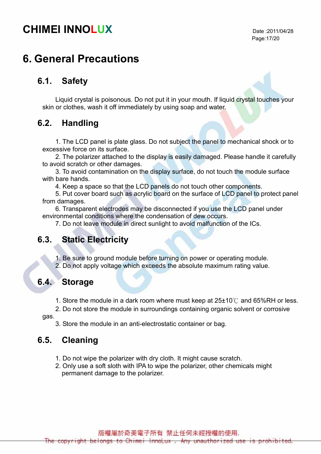## 6. General Precautions

### 6.1. Safety

Liquid crystal is poisonous. Do not put it in your mouth. If liquid crystal touches your skin or clothes, wash it off immediately by using soap and water.

### 6.2. Handling

1. The LCD panel is plate glass. Do not subject the panel to mechanical shock or to excessive force on its surface.

2. The polarizer attached to the display is easily damaged. Please handle it carefully to avoid scratch or other damages.

3. To avoid contamination on the display surface, do not touch the module surface with bare hands.

4. Keep a space so that the LCD panels do not touch other components.

5. Put cover board such as acrylic board on the surface of LCD panel to protect panel from damages.

6. Transparent electrodes may be disconnected if you use the LCD panel under environmental conditions where the condensation of dew occurs.

7. Do not leave module in direct sunlight to avoid malfunction of the ICs.

## 6.3. Static Electricity

1. Be sure to ground module before turning on power or operating module. 2. Do not apply voltage which exceeds the absolute maximum rating value.

### 6.4. Storage

1. Store the module in a dark room where must keep at 25±10℃ and 65%RH or less.

2. Do not store the module in surroundings containing organic solvent or corrosive

gas.

3. Store the module in an anti-electrostatic container or bag.

### 6.5. Cleaning

- 1. Do not wipe the polarizer with dry cloth. It might cause scratch.
- 2. Only use a soft sloth with IPA to wipe the polarizer, other chemicals might permanent damage to the polarizer.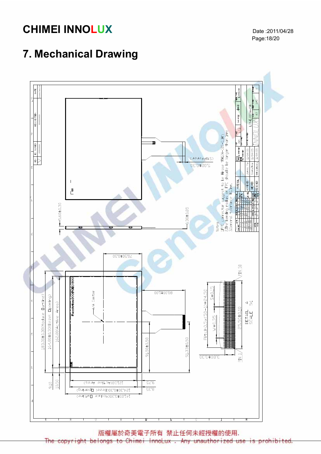# **CHIMEI INNOLU**

7. Mechanical Drawing

 $\mathsf{\mathsf{X}}$  Date :2011/04/28 Page:18/20

#### $x/xx/xx$ **DATE**  $10f1$  $\frac{1}{2}$ Ĕ  $\tilde{a}$ DESCRIPTION 3rd ANGLE  $\overline{M}$ Notes:<br>LFPC connector suggest to be Hirose 'FHI2A-50S-0.5H';<br>2.The bending radius of FPC shoudle be larger than Inn;<br>3.General tolerance ±0.3mm.  $\leq$  $R = \sqrt{\frac{E}{\sqrt{\frac{1}{\sqrt{N}}}}}}$  KXXXXX  $\frac{11/04/25}{11/04/25}$ James Yu 11/04/25 (Stiffener)  $\mathbb{E}$ Cosmo.Zhou  $2'00 + 0'30$  $\overline{1}$ **MATERIAL** APPROVED CHECKED  $\overline{\mathbf{B}}$ h  $\frac{\sqrt{\frac{16}{16}}}{\sqrt{\frac{16}{16}}}\frac{EVEL}{EVEL}$ SLET<br>LEVEL  $-5.60 \pm 0.30$  $-0.30 + 0.05$  $\begin{tabular}{|c|c|c|c|c|} \hline & 1.16988 & 0.0000 & 0.00000 & 0.00000 & 0.00000 & 0.00000 & 0.00000 & 0.00000 & 0.00000 & 0.00000 & 0.00000 & 0.00000 & 0.00000 & 0.00000 & 0.00000 & 0.00000 & 0.00000 & 0.00000 & 0.00000 & 0.00000 & 0.00000 & 0.00000 &$ 09'0709  $\sqrt{2}$  $\mathbb{R}$ Resolution:800(RGB)X60 Ē  $S = 0.15$ E SAN SERIES Pitch0.5x(50-1)=24.50  $00'1\mp00'08$ A/A Center 83.00±0.30(Module Dutline) 164.80±0.30(Bezel Opening) 162.00(Active Area)  $4\frac{1}{10}$  $25.50 \pm 0.10$ DETAIL<br>SCALE E.  $\sqrt{0.35}$ ≣ Ě  $91.33 \pm 0.50$  $91,50 \pm 0.50$  $\frac{1}{2}$  $0.80 + 0.30$  $10.50$  $9.10$ 121.50(Active Area)  $C/6$ I24.30±0.30(Bezel Opening)  $8.32$ I4I.00±0.30(Module Dutline)

版權屬於奇美電子所有 禁止任何未經授權的使用.

The copyright belongs to Chimei InnoLux unauthor ized use prohibited Any  $+$ ÷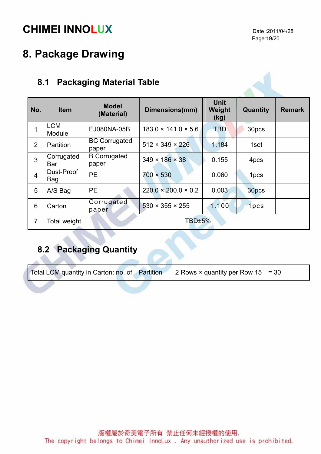Page:19/20

# 8. Package Drawing

## 8.1 Packaging Material Table

| No.            | <b>Item</b>          | <b>Model</b><br>(Material)    | Dimensions(mm)                  | <b>Unit</b><br>Weight<br>(kg) | <b>Quantity</b>  | <b>Remark</b> |  |
|----------------|----------------------|-------------------------------|---------------------------------|-------------------------------|------------------|---------------|--|
| 1              | <b>LCM</b><br>Module | EJ080NA-05B                   | $183.0 \times 141.0 \times 5.6$ | <b>TBD</b>                    | 30pcs            |               |  |
| 2              | Partition            | <b>BC Corrugated</b><br>paper | $512 \times 349 \times 226$     | 1.184                         | 1set             |               |  |
| 3              | Corrugated<br>Bar    | <b>B</b> Corrugated<br>paper  | $349 \times 186 \times 38$      | 0.155                         | 4pcs             |               |  |
| $\overline{4}$ | Dust-Proof<br>Bag    | <b>PE</b>                     | $700 \times 530$                | 0.060                         | 1 <sub>pcs</sub> |               |  |
| 5              | A/S Bag              | <b>PE</b>                     | $220.0 \times 200.0 \times 0.2$ | 0.003                         | 30pcs            |               |  |
| 6              | Carton               | Corrugated<br>paper           | $530 \times 355 \times 255$     | 1.100                         | 1pcs             |               |  |
| $\overline{7}$ | Total weight         | TBD <sub>±5</sub> %           |                                 |                               |                  |               |  |

## 8.2 Packaging Quantity

Total LCM quantity in Carton: no. of Partition 2 Rows  $\times$  quantity per Row 15 = 30